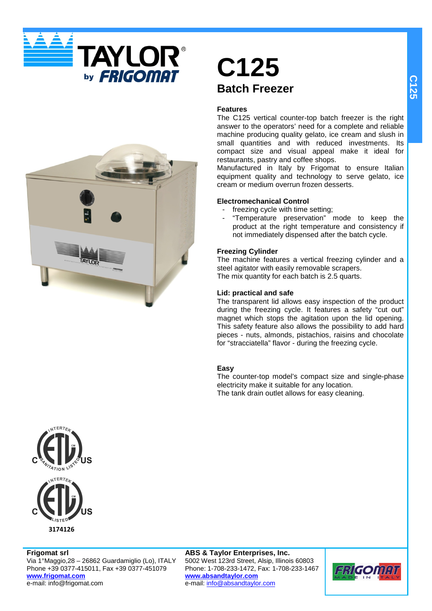



## **C125 Batch Freezer**

## **Features**

The C125 vertical counter-top batch freezer is the right answer to the operators' need for a complete and reliable machine producing quality gelato, ice cream and slush in small quantities and with reduced investments. Its compact size and visual appeal make it ideal for restaurants, pastry and coffee shops.

Manufactured in Italy by Frigomat to ensure Italian equipment quality and technology to serve gelato, ice cream or medium overrun frozen desserts.

## **Electromechanical Control**

- freezing cycle with time setting;
- "Temperature preservation" mode to keep the product at the right temperature and consistency if not immediately dispensed after the batch cycle.

## **Freezing Cylinder**

The machine features a vertical freezing cylinder and a steel agitator with easily removable scrapers. The mix quantity for each batch is 2.5 quarts.

## **Lid: practical and safe**

The transparent lid allows easy inspection of the product during the freezing cycle. It features a safety "cut out" magnet which stops the agitation upon the lid opening. This safety feature also allows the possibility to add hard pieces - nuts, almonds, pistachios, raisins and chocolate for "stracciatella" flavor - during the freezing cycle.

## **Easy**

The counter-top model's compact size and single-phase electricity make it suitable for any location. The tank drain outlet allows for easy cleaning.



**Frigomat srl** Via 1°Maggio,28 – 26862 Guardamiglio (Lo), ITALY Phone +39 0377-415011, Fax +39 0377-451079 **www.frigomat.com** e-mail: info@frigomat.com

**ABS & Taylor Enterprises, Inc.** 5002 West 123rd Street, Alsip, Illinois 60803 Phone: 1-708-233-1472, Fax: 1-708-233-1467 **www.absandtaylor.com** e-mail: info@absandtaylor.com